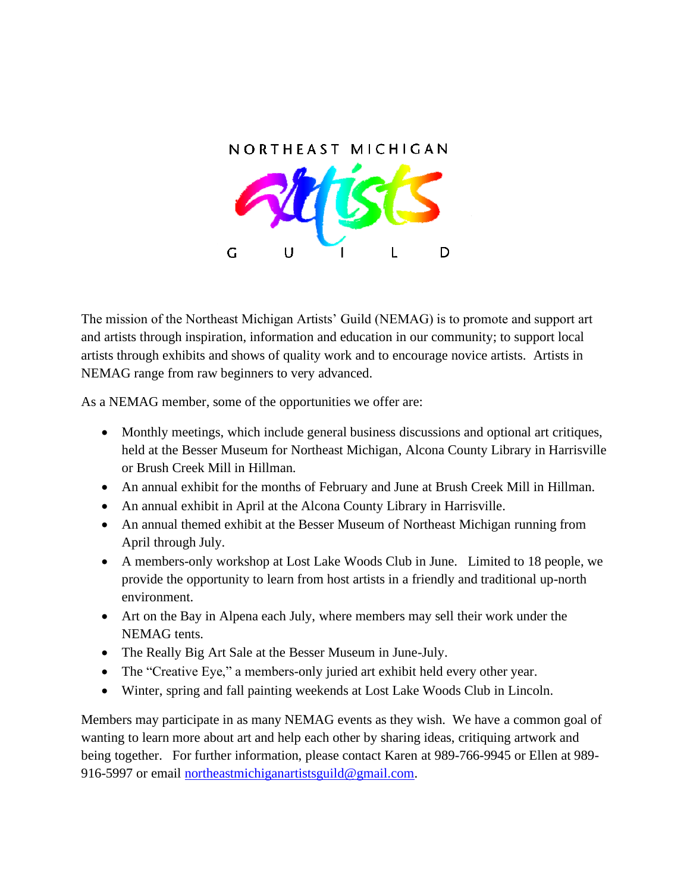

The mission of the Northeast Michigan Artists' Guild (NEMAG) is to promote and support art and artists through inspiration, information and education in our community; to support local artists through exhibits and shows of quality work and to encourage novice artists. Artists in NEMAG range from raw beginners to very advanced.

As a NEMAG member, some of the opportunities we offer are:

- Monthly meetings, which include general business discussions and optional art critiques, held at the Besser Museum for Northeast Michigan, Alcona County Library in Harrisville or Brush Creek Mill in Hillman.
- An annual exhibit for the months of February and June at Brush Creek Mill in Hillman.
- An annual exhibit in April at the Alcona County Library in Harrisville.
- An annual themed exhibit at the Besser Museum of Northeast Michigan running from April through July.
- A members-only workshop at Lost Lake Woods Club in June. Limited to 18 people, we provide the opportunity to learn from host artists in a friendly and traditional up-north environment.
- Art on the Bay in Alpena each July, where members may sell their work under the NEMAG tents.
- The Really Big Art Sale at the Besser Museum in June-July.
- The "Creative Eye," a members-only juried art exhibit held every other year.
- Winter, spring and fall painting weekends at Lost Lake Woods Club in Lincoln.

Members may participate in as many NEMAG events as they wish. We have a common goal of wanting to learn more about art and help each other by sharing ideas, critiquing artwork and being together. For further information, please contact Karen at 989-766-9945 or Ellen at 989 916-5997 or email [northeastmichiganartistsguild@gmail.com.](mailto:northeastmichiganartistsguild@gmail.com)